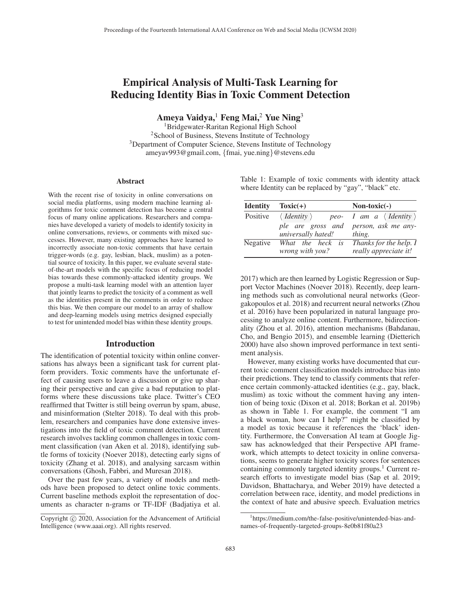# Empirical Analysis of Multi-Task Learning for Reducing Identity Bias in Toxic Comment Detection

Ameya Vaidya,<sup>1</sup> Feng Mai,<sup>2</sup> Yue Ning<sup>3</sup>

1Bridgewater-Raritan Regional High School 2School of Business, Stevens Institute of Technology 3Department of Computer Science, Stevens Institute of Technology ameyav993@gmail.com, {fmai, yue.ning}@stevens.edu

#### Abstract

With the recent rise of toxicity in online conversations on social media platforms, using modern machine learning algorithms for toxic comment detection has become a central focus of many online applications. Researchers and companies have developed a variety of models to identify toxicity in online conversations, reviews, or comments with mixed successes. However, many existing approaches have learned to incorrectly associate non-toxic comments that have certain trigger-words (e.g. gay, lesbian, black, muslim) as a potential source of toxicity. In this paper, we evaluate several stateof-the-art models with the specific focus of reducing model bias towards these commonly-attacked identity groups. We propose a multi-task learning model with an attention layer that jointly learns to predict the toxicity of a comment as well as the identities present in the comments in order to reduce this bias. We then compare our model to an array of shallow and deep-learning models using metrics designed especially to test for unintended model bias within these identity groups.

## Introduction

The identification of potential toxicity within online conversations has always been a significant task for current platform providers. Toxic comments have the unfortunate effect of causing users to leave a discussion or give up sharing their perspective and can give a bad reputation to platforms where these discussions take place. Twitter's CEO reaffirmed that Twitter is still being overrun by spam, abuse, and misinformation (Stelter 2018). To deal with this problem, researchers and companies have done extensive investigations into the field of toxic comment detection. Current research involves tackling common challenges in toxic comment classification (van Aken et al. 2018), identifying subtle forms of toxicity (Noever 2018), detecting early signs of toxicity (Zhang et al. 2018), and analysing sarcasm within conversations (Ghosh, Fabbri, and Muresan 2018).

Over the past few years, a variety of models and methods have been proposed to detect online toxic comments. Current baseline methods exploit the representation of documents as character n-grams or TF-IDF (Badjatiya et al. Table 1: Example of toxic comments with identity attack where Identity can be replaced by "gay", "black" etc.

| <b>Identity</b> | $Toxic(+)$                          | $Non-toxic(-)$                                                        |
|-----------------|-------------------------------------|-----------------------------------------------------------------------|
| Positive        | $\langle$ <i>Identity</i> $\rangle$ | <i>peo- I am a <math>\langle</math> Identity <math>\rangle</math></i> |
|                 | ple are gross and                   | person, ask me any-                                                   |
|                 | universally hated!                  | thing.                                                                |
| Negative        | What the heck is                    | Thanks for the help. I                                                |
|                 | <i>wrong with you?</i>              | really appreciate it!                                                 |

2017) which are then learned by Logistic Regression or Support Vector Machines (Noever 2018). Recently, deep learning methods such as convolutional neural networks (Georgakopoulos et al. 2018) and recurrent neural networks (Zhou et al. 2016) have been popularized in natural language processing to analyze online content. Furthermore, bidirectionality (Zhou et al. 2016), attention mechanisms (Bahdanau, Cho, and Bengio 2015), and ensemble learning (Dietterich 2000) have also shown improved performance in text sentiment analysis.

However, many existing works have documented that current toxic comment classification models introduce bias into their predictions. They tend to classify comments that reference certain commonly-attacked identities (e.g., gay, black, muslim) as toxic without the comment having any intention of being toxic (Dixon et al. 2018; Borkan et al. 2019b) as shown in Table 1. For example, the comment "I am a black woman, how can I help?" might be classified by a model as toxic because it references the 'black' identity. Furthermore, the Conversation AI team at Google Jigsaw has acknowledged that their Perspective API framework, which attempts to detect toxicity in online conversations, seems to generate higher toxicity scores for sentences containing commonly targeted identity groups.<sup>1</sup> Current research efforts to investigate model bias (Sap et al. 2019; Davidson, Bhattacharya, and Weber 2019) have detected a correlation between race, identity, and model predictions in the context of hate and abusive speech. Evaluation metrics

Copyright  $\odot$  2020, Association for the Advancement of Artificial Intelligence (www.aaai.org). All rights reserved.

<sup>1</sup> https://medium.com/the-false-positive/unintended-bias-andnames-of-frequently-targeted-groups-8e0b81f80a23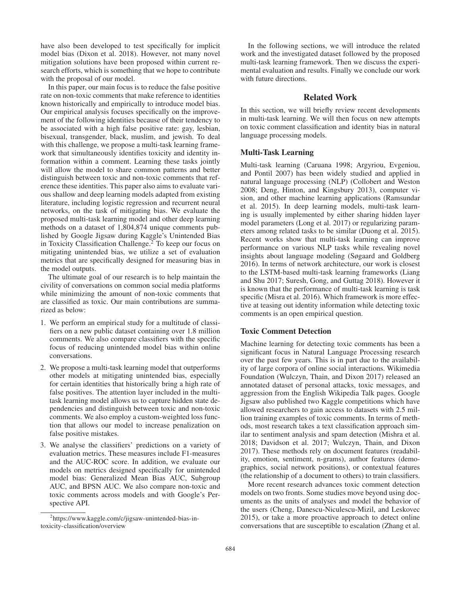have also been developed to test specifically for implicit model bias (Dixon et al. 2018). However, not many novel mitigation solutions have been proposed within current research efforts, which is something that we hope to contribute with the proposal of our model.

In this paper, our main focus is to reduce the false positive rate on non-toxic comments that make reference to identities known historically and empirically to introduce model bias. Our empirical analysis focuses specifically on the improvement of the following identities because of their tendency to be associated with a high false positive rate: gay, lesbian, bisexual, transgender, black, muslim, and jewish. To deal with this challenge, we propose a multi-task learning framework that simultaneously identifies toxicity and identity information within a comment. Learning these tasks jointly will allow the model to share common patterns and better distinguish between toxic and non-toxic comments that reference these identities. This paper also aims to evaluate various shallow and deep learning models adapted from existing literature, including logistic regression and recurrent neural networks, on the task of mitigating bias. We evaluate the proposed multi-task learning model and other deep learning methods on a dataset of 1,804,874 unique comments published by Google Jigsaw during Kaggle's Unintended Bias in Toxicity Classification Challenge.<sup>2</sup> To keep our focus on mitigating unintended bias, we utilize a set of evaluation metrics that are specifically designed for measuring bias in the model outputs.

The ultimate goal of our research is to help maintain the civility of conversations on common social media platforms while minimizing the amount of non-toxic comments that are classified as toxic. Our main contributions are summarized as below:

- 1. We perform an empirical study for a multitude of classifiers on a new public dataset containing over 1.8 million comments. We also compare classifiers with the specific focus of reducing unintended model bias within online conversations.
- 2. We propose a multi-task learning model that outperforms other models at mitigating unintended bias, especially for certain identities that historically bring a high rate of false positives. The attention layer included in the multitask learning model allows us to capture hidden state dependencies and distinguish between toxic and non-toxic comments. We also employ a custom-weighted loss function that allows our model to increase penalization on false positive mistakes.
- 3. We analyse the classifiers' predictions on a variety of evaluation metrics. These measures include F1-measures and the AUC-ROC score. In addition, we evaluate our models on metrics designed specifically for unintended model bias: Generalized Mean Bias AUC, Subgroup AUC, and BPSN AUC. We also compare non-toxic and toxic comments across models and with Google's Perspective API.

In the following sections, we will introduce the related work and the investigated dataset followed by the proposed multi-task learning framework. Then we discuss the experimental evaluation and results. Finally we conclude our work with future directions.

## Related Work

In this section, we will briefly review recent developments in multi-task learning. We will then focus on new attempts on toxic comment classification and identity bias in natural language processing models.

#### Multi-Task Learning

Multi-task learning (Caruana 1998; Argyriou, Evgeniou, and Pontil 2007) has been widely studied and applied in natural language processing (NLP) (Collobert and Weston 2008; Deng, Hinton, and Kingsbury 2013), computer vision, and other machine learning applications (Ramsundar et al. 2015). In deep learning models, multi-task learning is usually implemented by either sharing hidden layer model parameters (Long et al. 2017) or regularizing parameters among related tasks to be similar (Duong et al. 2015). Recent works show that multi-task learning can improve performance on various NLP tasks while revealing novel insights about language modeling (Søgaard and Goldberg 2016). In terms of network architecture, our work is closest to the LSTM-based multi-task learning frameworks (Liang and Shu 2017; Suresh, Gong, and Guttag 2018). However it is known that the performance of multi-task learning is task specific (Misra et al. 2016). Which framework is more effective at teasing out identity information while detecting toxic comments is an open empirical question.

#### Toxic Comment Detection

Machine learning for detecting toxic comments has been a significant focus in Natural Language Processing research over the past few years. This is in part due to the availability of large corpora of online social interactions. Wikimedia Foundation (Wulczyn, Thain, and Dixon 2017) released an annotated dataset of personal attacks, toxic messages, and aggression from the English Wikipedia Talk pages. Google Jigsaw also published two Kaggle competitions which have allowed researchers to gain access to datasets with 2.5 million training examples of toxic comments. In terms of methods, most research takes a text classification approach similar to sentiment analysis and spam detection (Mishra et al. 2018; Davidson et al. 2017; Wulczyn, Thain, and Dixon 2017). These methods rely on document features (readability, emotion, sentiment, n-grams), author features (demographics, social network positions), or contextual features (the relationship of a document to others) to train classifiers.

More recent research advances toxic comment detection models on two fronts. Some studies move beyond using documents as the units of analyses and model the behavior of the users (Cheng, Danescu-Niculescu-Mizil, and Leskovec 2015), or take a more proactive approach to detect online conversations that are susceptible to escalation (Zhang et al.

<sup>&</sup>lt;sup>2</sup>https://www.kaggle.com/c/jigsaw-unintended-bias-intoxicity-classification/overview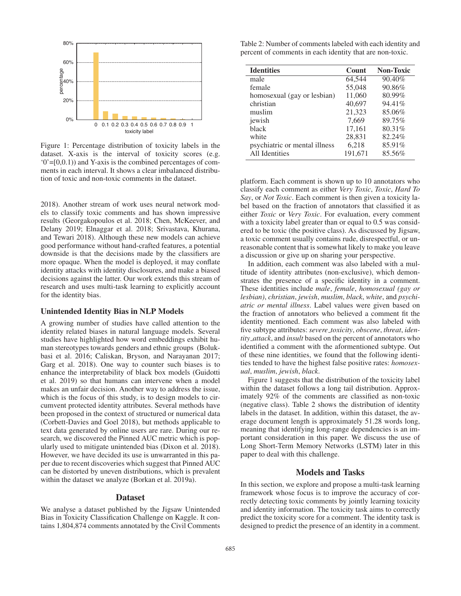

Figure 1: Percentage distribution of toxicity labels in the dataset. X-axis is the interval of toxicity scores (e.g.  $(0)$ =[0,0.1)) and Y-axis is the combined percentages of comments in each interval. It shows a clear imbalanced distribution of toxic and non-toxic comments in the dataset.

2018). Another stream of work uses neural network models to classify toxic comments and has shown impressive results (Georgakopoulos et al. 2018; Chen, McKeever, and Delany 2019; Elnaggar et al. 2018; Srivastava, Khurana, and Tewari 2018). Although these new models can achieve good performance without hand-crafted features, a potential downside is that the decisions made by the classifiers are more opaque. When the model is deployed, it may conflate identity attacks with identity disclosures, and make a biased decisions against the latter. Our work extends this stream of research and uses multi-task learning to explicitly account for the identity bias.

#### Unintended Identity Bias in NLP Models

A growing number of studies have called attention to the identity related biases in natural language models. Several studies have highlighted how word embeddings exhibit human stereotypes towards genders and ethnic groups (Bolukbasi et al. 2016; Caliskan, Bryson, and Narayanan 2017; Garg et al. 2018). One way to counter such biases is to enhance the interpretability of black box models (Guidotti et al. 2019) so that humans can intervene when a model makes an unfair decision. Another way to address the issue, which is the focus of this study, is to design models to circumvent protected identity attributes. Several methods have been proposed in the context of structured or numerical data (Corbett-Davies and Goel 2018), but methods applicable to text data generated by online users are rare. During our research, we discovered the Pinned AUC metric which is popularly used to mitigate unintended bias (Dixon et al. 2018). However, we have decided its use is unwarranted in this paper due to recent discoveries which suggest that Pinned AUC can be distorted by uneven distributions, which is prevalent within the dataset we analyze (Borkan et al. 2019a).

## Dataset

We analyse a dataset published by the Jigsaw Unintended Bias in Toxicity Classification Challenge on Kaggle. It contains 1,804,874 comments annotated by the Civil Comments

Table 2: Number of comments labeled with each identity and percent of comments in each identity that are non-toxic.

| <b>Identities</b>             | Count   | <b>Non-Toxic</b> |  |
|-------------------------------|---------|------------------|--|
| male                          | 64,544  | 90.40%           |  |
| female                        | 55,048  | 90.86%           |  |
| homosexual (gay or lesbian)   | 11,060  | 80.99%           |  |
| christian                     | 40,697  | 94.41%           |  |
| muslim                        | 21,323  | 85.06%           |  |
| jewish                        | 7,669   | 89.75%           |  |
| black                         | 17,161  | 80.31%           |  |
| white                         | 28,831  | 82.24%           |  |
| psychiatric or mental illness | 6,218   | 85.91%           |  |
| All Identities                | 191,671 | 85.56%           |  |

platform. Each comment is shown up to 10 annotators who classify each comment as either *Very Toxic*, *Toxic*, *Hard To Say*, or *Not Toxic*. Each comment is then given a toxicity label based on the fraction of annotators that classified it as either *Toxic* or *Very Toxic*. For evaluation, every comment with a toxicity label greater than or equal to 0.5 was considered to be toxic (the positive class). As discussed by Jigsaw, a toxic comment usually contains rude, disrespectful, or unreasonable content that is somewhat likely to make you leave a discussion or give up on sharing your perspective.

In addition, each comment was also labeled with a multitude of identity attributes (non-exclusive), which demonstrates the presence of a specific identity in a comment. These identities include *male*, *female*, *homosexual (gay or lesbian)*, *christian*, *jewish*, *muslim*, *black*, *white*, and *psychiatric or mental illness*. Label values were given based on the fraction of annotators who believed a comment fit the identity mentioned. Each comment was also labeled with five subtype attributes: *severe toxicity*, *obscene*, *threat*, *identity attack*, and *insult* based on the percent of annotators who identified a comment with the aformentioned subtype. Out of these nine identities, we found that the following identities tended to have the highest false positive rates: *homosexual*, *muslim*, *jewish*, *black*.

Figure 1 suggests that the distribution of the toxicity label within the dataset follows a long tail distribution. Approximately 92% of the comments are classified as non-toxic (negative class). Table 2 shows the distribution of identity labels in the dataset. In addition, within this dataset, the average document length is approximately 51.28 words long, meaning that identifying long-range dependencies is an important consideration in this paper. We discuss the use of Long Short-Term Memory Networks (LSTM) later in this paper to deal with this challenge.

## Models and Tasks

In this section, we explore and propose a multi-task learning framework whose focus is to improve the accuracy of correctly detecting toxic comments by jointly learning toxicity and identity information. The toxicity task aims to correctly predict the toxicity score for a comment. The identity task is designed to predict the presence of an identity in a comment.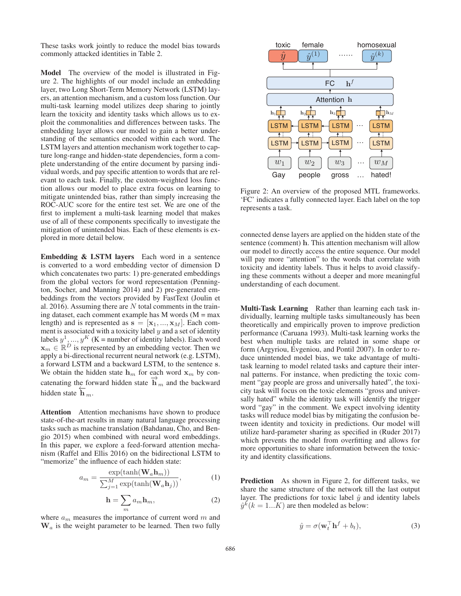These tasks work jointly to reduce the model bias towards commonly attacked identities in Table 2.

Model The overview of the model is illustrated in Figure 2. The highlights of our model include an embedding layer, two Long Short-Term Memory Network (LSTM) layers, an attention mechanism, and a custom loss function. Our multi-task learning model utilizes deep sharing to jointly learn the toxicity and identity tasks which allows us to exploit the commonalities and differences between tasks. The embedding layer allows our model to gain a better understanding of the semantics encoded within each word. The LSTM layers and attention mechanism work together to capture long-range and hidden-state dependencies, form a complete understanding of the entire document by parsing individual words, and pay specific attention to words that are relevant to each task. Finally, the custom-weighted loss function allows our model to place extra focus on learning to mitigate unintended bias, rather than simply increasing the ROC-AUC score for the entire test set. We are one of the first to implement a multi-task learning model that makes use of all of these components specifically to investigate the mitigation of unintended bias. Each of these elements is explored in more detail below.

Embedding & LSTM layers Each word in a sentence is converted to a word embedding vector of dimension D which concatenates two parts: 1) pre-generated embeddings from the global vectors for word representation (Pennington, Socher, and Manning 2014) and 2) pre-generated embeddings from the vectors provided by FastText (Joulin et al. 2016). Assuming there are  $N$  total comments in the training dataset, each comment example has  $M$  words ( $M = max$ length) and is represented as  $\mathbf{s} = [\mathbf{x}_1, ..., \mathbf{x}_M]$ . Each comment is associated with a toxicity label  $y$  and a set of identity labels  $y^1, ..., y^K$  (K = number of identity labels). Each word  $\mathbf{x}_m \in \mathbb{R}^D$  is represented by an embedding vector. Then we apply a bi-directional recurrent neural network (e.g. LSTM), a forward LSTM and a backward LSTM, to the sentence **s**. We obtain the hidden state  $h_m$  for each word  $x_m$  by concatenating the forward hidden state  $\overrightarrow{h}_m$  and the backward hidden state  $\overleftarrow{\mathbf{h}}_m$ .

Attention Attention mechanisms have shown to produce state-of-the-art results in many natural language processing tasks such as machine translation (Bahdanau, Cho, and Bengio 2015) when combined with neural word embeddings. In this paper, we explore a feed-forward attention mechanism (Raffel and Ellis 2016) on the bidirectional LSTM to "memorize" the influence of each hidden state:

$$
a_m = \frac{\exp(\tanh(\mathbf{W}_a \mathbf{h}_m))}{\sum_{j=1}^M \exp(\tanh(\mathbf{W}_a \mathbf{h}_j))},
$$
(1)

$$
\mathbf{h} = \sum_{m} a_{m} \mathbf{h}_{m},\tag{2}
$$

where  $a_m$  measures the importance of current word m and  $W_a$  is the weight parameter to be learned. Then two fully



Figure 2: An overview of the proposed MTL frameworks. 'FC' indicates a fully connected layer. Each label on the top represents a task.

connected dense layers are applied on the hidden state of the sentence (comment) **h**. This attention mechanism will allow our model to directly access the entire sequence. Our model will pay more "attention" to the words that correlate with toxicity and identity labels. Thus it helps to avoid classifying these comments without a deeper and more meaningful understanding of each document.

Multi-Task Learning Rather than learning each task individually, learning multiple tasks simultaneously has been theoretically and empirically proven to improve prediction performance (Caruana 1993). Multi-task learning works the best when multiple tasks are related in some shape or form (Argyriou, Evgeniou, and Pontil 2007). In order to reduce unintended model bias, we take advantage of multitask learning to model related tasks and capture their internal patterns. For instance, when predicting the toxic comment "gay people are gross and universally hated", the toxicity task will focus on the toxic elements "gross and universally hated" while the identity task will identify the trigger word "gay" in the comment. We expect involving identity tasks will reduce model bias by mitigating the confusion between identity and toxicity in predictions. Our model will utilize hard-parameter sharing as specified in (Ruder 2017) which prevents the model from overfitting and allows for more opportunities to share information between the toxicity and identity classifications.

Prediction As shown in Figure 2, for different tasks, we share the same structure of the network till the last output layer. The predictions for toxic label  $\hat{y}$  and identity labels  $\hat{y}^k(k = 1...K)$  are then modeled as below:

$$
\hat{y} = \sigma(\mathbf{w}_t^{\top} \mathbf{h}^f + b_t),\tag{3}
$$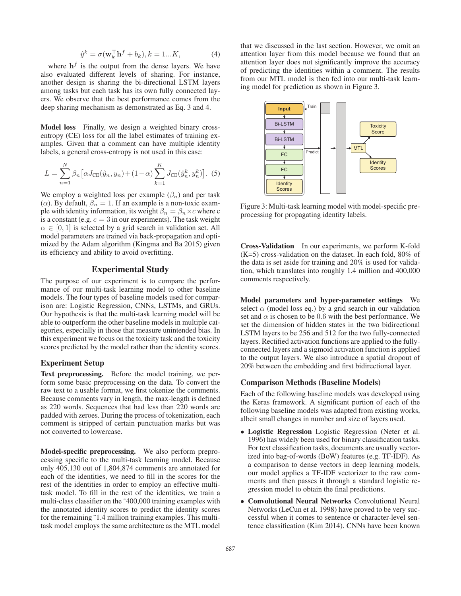$$
\hat{y}^k = \sigma(\mathbf{w}_k^\top \mathbf{h}^f + b_k), k = 1...K,\tag{4}
$$

where  $\mathbf{h}^f$  is the output from the dense layers. We have also evaluated different levels of sharing. For instance, another design is sharing the bi-directional LSTM layers among tasks but each task has its own fully connected layers. We observe that the best performance comes from the deep sharing mechanism as demonstrated as Eq. 3 and 4.

Model loss Finally, we design a weighted binary crossentropy (CE) loss for all the label estimates of training examples. Given that a comment can have multiple identity labels, a general cross-entropy is not used in this case:

$$
L = \sum_{n=1}^{N} \beta_n \left[ \alpha J_{\text{CE}}(\hat{y}_n, y_n) + (1 - \alpha) \sum_{k=1}^{K} J_{\text{CE}}(\hat{y}_n^k, y_n^k) \right].
$$
 (5)

We employ a weighted loss per example  $(\beta_n)$  and per task ( $\alpha$ ). By default,  $\beta_n = 1$ . If an example is a non-toxic example with identity information, its weight  $\beta_n = \beta_n \times c$  where c is a constant (e.g.  $c = 3$  in our experiments). The task weight  $\alpha \in [0, 1]$  is selected by a grid search in validation set. All model parameters are trained via back-propagation and optimized by the Adam algorithm (Kingma and Ba 2015) given its efficiency and ability to avoid overfitting.

## Experimental Study

The purpose of our experiment is to compare the performance of our multi-task learning model to other baseline models. The four types of baseline models used for comparison are: Logistic Regression, CNNs, LSTMs, and GRUs. Our hypothesis is that the multi-task learning model will be able to outperform the other baseline models in multiple categories, especially in those that measure unintended bias. In this experiment we focus on the toxicity task and the toxicity scores predicted by the model rather than the identity scores.

## Experiment Setup

Text preprocessing. Before the model training, we perform some basic preprocessing on the data. To convert the raw text to a usable format, we first tokenize the comments. Because comments vary in length, the max-length is defined as 220 words. Sequences that had less than 220 words are padded with zeroes. During the process of tokenization, each comment is stripped of certain punctuation marks but was not converted to lowercase.

Model-specific preprocessing. We also perform preprocessing specific to the multi-task learning model. Because only 405,130 out of 1,804,874 comments are annotated for each of the identities, we need to fill in the scores for the rest of the identities in order to employ an effective multitask model. To fill in the rest of the identities, we train a multi-class classifier on the ~400,000 training examples with the annotated identity scores to predict the identity scores for the remaining ˜1.4 million training examples. This multitask model employs the same architecture as the MTL model

that we discussed in the last section. However, we omit an attention layer from this model because we found that an attention layer does not significantly improve the accuracy of predicting the identities within a comment. The results from our MTL model is then fed into our multi-task learning model for prediction as shown in Figure 3.



Figure 3: Multi-task learning model with model-specific preprocessing for propagating identity labels.

Cross-Validation In our experiments, we perform K-fold  $(K=5)$  cross-validation on the dataset. In each fold, 80% of the data is set aside for training and 20% is used for validation, which translates into roughly 1.4 million and 400,000 comments respectively.

Model parameters and hyper-parameter settings We select  $\alpha$  (model loss eq.) by a grid search in our validation set and  $\alpha$  is chosen to be 0.6 with the best performance. We set the dimension of hidden states in the two bidirectional LSTM layers to be 256 and 512 for the two fully-connected layers. Rectified activation functions are applied to the fullyconnected layers and a sigmoid activation function is applied to the output layers. We also introduce a spatial dropout of 20% between the embedding and first bidirectional layer.

#### Comparison Methods (Baseline Models)

Each of the following baseline models was developed using the Keras framework. A significant portion of each of the following baseline models was adapted from existing works, albeit small changes in number and size of layers used.

- Logistic Regression Logistic Regression (Neter et al. 1996) has widely been used for binary classification tasks. For text classification tasks, documents are usually vectorized into bag-of-words (BoW) features (e.g. TF-IDF). As a comparison to dense vectors in deep learning models, our model applies a TF-IDF vectorizer to the raw comments and then passes it through a standard logistic regression model to obtain the final predictions.
- Convolutional Neural Networks Convolutional Neural Networks (LeCun et al. 1998) have proved to be very successful when it comes to sentence or character-level sentence classification (Kim 2014). CNNs have been known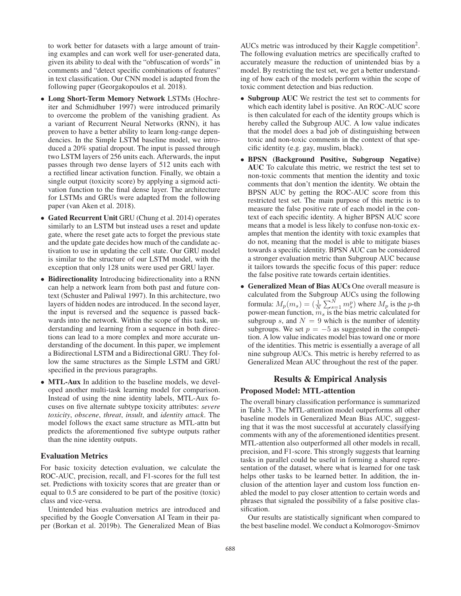to work better for datasets with a large amount of training examples and can work well for user-generated data, given its ability to deal with the "obfuscation of words" in comments and "detect specific combinations of features" in text classification. Our CNN model is adapted from the following paper (Georgakopoulos et al. 2018).

- Long Short-Term Memory Network LSTMs (Hochreiter and Schmidhuber 1997) were introduced primarily to overcome the problem of the vanishing gradient. As a variant of Recurrent Neural Networks (RNN), it has proven to have a better ability to learn long-range dependencies. In the Simple LSTM baseline model, we introduced a 20% spatial dropout. The input is passed through two LSTM layers of 256 units each. Afterwards, the input passes through two dense layers of 512 units each with a rectified linear activation function. Finally, we obtain a single output (toxicity score) by applying a sigmoid activation function to the final dense layer. The architecture for LSTMs and GRUs were adapted from the following paper (van Aken et al. 2018).
- Gated Recurrent Unit GRU (Chung et al. 2014) operates similarly to an LSTM but instead uses a reset and update gate, where the reset gate acts to forget the previous state and the update gate decides how much of the candidate activation to use in updating the cell state. Our GRU model is similar to the structure of our LSTM model, with the exception that only 128 units were used per GRU layer.
- Bidirectionality Introducing bidirectionality into a RNN can help a network learn from both past and future context (Schuster and Paliwal 1997). In this architecture, two layers of hidden nodes are introduced. In the second layer, the input is reversed and the sequence is passed backwards into the network. Within the scope of this task, understanding and learning from a sequence in both directions can lead to a more complex and more accurate understanding of the document. In this paper, we implement a Bidirectional LSTM and a Bidirectional GRU. They follow the same structures as the Simple LSTM and GRU specified in the previous paragraphs.
- MTL-Aux In addition to the baseline models, we developed another multi-task learning model for comparison. Instead of using the nine identity labels, MTL-Aux focuses on five alternate subtype toxicity attributes: *severe toxicity*, *obscene*, *threat*, *insult*, and *identity attack*. The model follows the exact same structure as MTL-attn but predicts the aforementioned five subtype outputs rather than the nine identity outputs.

#### Evaluation Metrics

For basic toxicity detection evaluation, we calculate the ROC-AUC, precision, recall, and F1-scores for the full test set. Predictions with toxicity scores that are greater than or equal to 0.5 are considered to be part of the positive (toxic) class and vice-versa.

Unintended bias evaluation metrics are introduced and specified by the Google Conversation AI Team in their paper (Borkan et al. 2019b). The Generalized Mean of Bias

AUCs metric was introduced by their Kaggle competition<sup>2</sup>. The following evaluation metrics are specifically crafted to accurately measure the reduction of unintended bias by a model. By restricting the test set, we get a better understanding of how each of the models perform within the scope of toxic comment detection and bias reduction.

- Subgroup AUC We restrict the test set to comments for which each identity label is positive. An ROC-AUC score is then calculated for each of the identity groups which is hereby called the Subgroup AUC. A low value indicates that the model does a bad job of distinguishing between toxic and non-toxic comments in the context of that specific identity (e.g. gay, muslim, black).
- BPSN (Background Positive, Subgroup Negative) AUC To calculate this metric, we restrict the test set to non-toxic comments that mention the identity and toxic comments that don't mention the identity. We obtain the BPSN AUC by getting the ROC-AUC score from this restricted test set. The main purpose of this metric is to measure the false positive rate of each model in the context of each specific identity. A higher BPSN AUC score means that a model is less likely to confuse non-toxic examples that mention the identity with toxic examples that do not, meaning that the model is able to mitigate biases towards a specific identity. BPSN AUC can be considered a stronger evaluation metric than Subgroup AUC because it tailors towards the specific focus of this paper: reduce the false positive rate towards certain identities.
- Generalized Mean of Bias AUCs One overall measure is calculated from the Subgroup AUCs using the following formula:  $M_p(m_s) = (\frac{1}{N} \sum_{s=1}^{N} m_s^p)$  where  $M_p$  is the p-th power-mean function,  $m<sub>s</sub>$  is the bias metric calculated for subgroup s, and  $N = 9$  which is the number of identity subgroups. We set  $p = -5$  as suggested in the competition. A low value indicates model bias toward one or more of the identities. This metric is essentially a average of all nine subgroup AUCs. This metric is hereby referred to as Generalized Mean AUC throughout the rest of the paper.

## Results & Empirical Analysis

#### Proposed Model: MTL-attention

The overall binary classification performance is summarized in Table 3. The MTL-attention model outperforms all other baseline models in Generalized Mean Bias AUC, suggesting that it was the most successful at accurately classifying comments with any of the aforementioned identities present. MTL-attention also outperformed all other models in recall, precision, and F1-score. This strongly suggests that learning tasks in parallel could be useful in forming a shared representation of the dataset, where what is learned for one task helps other tasks to be learned better. In addition, the inclusion of the attention layer and custom loss function enabled the model to pay closer attention to certain words and phrases that signaled the possibility of a false positive classification.

Our results are statistically significant when compared to the best baseline model. We conduct a Kolmorogov-Smirnov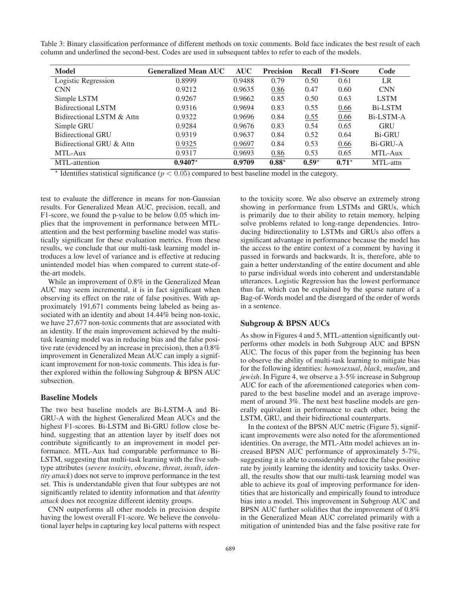Table 3: Binary classification performance of different methods on toxic comments. Bold face indicates the best result of each column and underlined the second-best. Codes are used in subsequent tables to refer to each of the models.

| <b>Model</b>              | <b>Generalized Mean AUC</b> | <b>AUC</b> | <b>Precision</b> | Recall  | <b>F1-Score</b> | Code           |
|---------------------------|-----------------------------|------------|------------------|---------|-----------------|----------------|
| Logistic Regression       | 0.8999                      | 0.9488     | 0.79             | 0.50    | 0.61            | LR             |
| <b>CNN</b>                | 0.9212                      | 0.9635     | 0.86             | 0.47    | 0.60            | <b>CNN</b>     |
| Simple LSTM               | 0.9267                      | 0.9662     | 0.85             | 0.50    | 0.63            | <b>LSTM</b>    |
| <b>Bidirectional LSTM</b> | 0.9316                      | 0.9694     | 0.83             | 0.55    | 0.66            | <b>Bi-LSTM</b> |
| Bidirectional LSTM & Attn | 0.9322                      | 0.9696     | 0.84             | 0.55    | 0.66            | Bi-LSTM-A      |
| Simple GRU                | 0.9284                      | 0.9676     | 0.83             | 0.54    | 0.65            | GRU            |
| <b>Bidirectional GRU</b>  | 0.9319                      | 0.9637     | 0.84             | 0.52    | 0.64            | <b>Bi-GRU</b>  |
| Bidirectional GRU & Attn  | 0.9325                      | 0.9697     | 0.84             | 0.53    | 0.66            | Bi-GRU-A       |
| MTL-Aux                   | 0.9317                      | 0.9693     | 0.86             | 0.53    | 0.65            | MTL-Aux        |
| MTL-attention             | $0.9407*$                   | 0.9709     | $0.88*$          | $0.59*$ | $0.71*$         | MTL-attn       |

 $*$  Identifies statistical significance ( $p < 0.05$ ) compared to best baseline model in the category.

test to evaluate the difference in means for non-Gaussian results. For Generalized Mean AUC, precision, recall, and F1-score, we found the p-value to be below 0.05 which implies that the improvement in performance between MTLattention and the best performing baseline model was statistically significant for these evaluation metrics. From these results, we conclude that our multi-task learning model introduces a low level of variance and is effective at reducing unintended model bias when compared to current state-ofthe-art models.

While an improvement of 0.8% in the Generalized Mean AUC may seem incremental, it is in fact significant when observing its effect on the rate of false positives. With approximately 191,671 comments being labeled as being associated with an identity and about 14.44% being non-toxic, we have 27,677 non-toxic comments that are associated with an identity. If the main improvement achieved by the multitask learning model was in reducing bias and the false positive rate (evidenced by an increase in precision), then a 0.8% improvement in Generalized Mean AUC can imply a significant improvement for non-toxic comments. This idea is further explored within the following Subgroup & BPSN AUC subsection.

## Baseline Models

The two best baseline models are Bi-LSTM-A and Bi-GRU-A with the highest Generalized Mean AUCs and the highest F1-scores. Bi-LSTM and Bi-GRU follow close behind, suggesting that an attention layer by itself does not contribute significantly to an improvement in model performance. MTL-Aux had comparable performance to Bi-LSTM, suggesting that multi-task learning with the five subtype attributes (*severe toxicity*, *obscene*, *threat*, *insult*, *identity attack*) does not serve to improve performance in the test set. This is understandable given that four subtypes are not significantly related to identity information and that *identity attack* does not recognize different identity groups.

CNN outperforms all other models in precision despite having the lowest overall F1-score. We believe the convolutional layer helps in capturing key local patterns with respect to the toxicity score. We also observe an extremely strong showing in performance from LSTMs and GRUs, which is primarily due to their ability to retain memory, helping solve problems related to long-range dependencies. Introducing bidirectionality to LSTMs and GRUs also offers a significant advantage in performance because the model has the access to the entire context of a comment by having it passed in forwards and backwards. It is, therefore, able to gain a better understanding of the entire document and able to parse individual words into coherent and understandable utterances. Logistic Regression has the lowest performance thus far, which can be explained by the sparse nature of a Bag-of-Words model and the disregard of the order of words in a sentence.

## Subgroup & BPSN AUCs

As show in Figures 4 and 5, MTL-attention significantly outperforms other models in both Subgroup AUC and BPSN AUC. The focus of this paper from the beginning has been to observe the ability of multi-task learning to mitigate bias for the following identities: *homosexual*, *black*, *muslim*, and *jewish*. In Figure 4, we observe a 3-5% increase in Subgroup AUC for each of the aforementioned categories when compared to the best baseline model and an average improvement of around 3%. The next best baseline models are generally equivalent in performance to each other, being the LSTM, GRU, and their bidirectional counterparts.

In the context of the BPSN AUC metric (Figure 5), significant improvements were also noted for the aforementioned identities. On average, the MTL-Attn model achieves an increased BPSN AUC performance of approximately 5-7%, suggesting it is able to considerably reduce the false positive rate by jointly learning the identity and toxicity tasks. Overall, the results show that our multi-task learning model was able to achieve its goal of improving performance for identities that are historically and empirically found to introduce bias into a model. This improvement in Subgroup AUC and BPSN AUC further solidifies that the improvement of 0.8% in the Generalized Mean AUC correlated primarily with a mitigation of unintended bias and the false positive rate for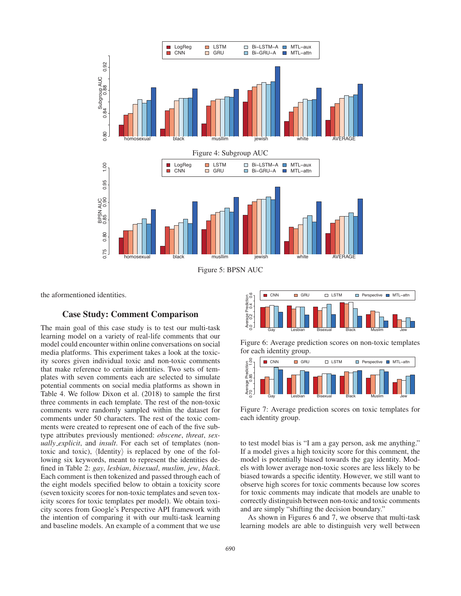

Figure 5: BPSN AUC

the aformentioned identities.

# Case Study: Comment Comparison

The main goal of this case study is to test our multi-task learning model on a variety of real-life comments that our model could encounter within online conversations on social media platforms. This experiment takes a look at the toxicity scores given individual toxic and non-toxic comments that make reference to certain identities. Two sets of templates with seven comments each are selected to simulate potential comments on social media platforms as shown in Table 4. We follow Dixon et al. (2018) to sample the first three comments in each template. The rest of the non-toxic comments were randomly sampled within the dataset for comments under 50 characters. The rest of the toxic comments were created to represent one of each of the five subtype attributes previously mentioned: *obscene*, *threat*, *sexually explicit*, and *insult*. For each set of templates (nontoxic and toxic),  $\langle$ Identity $\rangle$  is replaced by one of the following six keywords, meant to represent the identities defined in Table 2: *gay*, *lesbian*, *bisexual*, *muslim*, *jew*, *black*. Each comment is then tokenized and passed through each of the eight models specified below to obtain a toxicity score (seven toxicity scores for non-toxic templates and seven toxicity scores for toxic templates per model). We obtain toxicity scores from Google's Perspective API framework with the intention of comparing it with our multi-task learning and baseline models. An example of a comment that we use



Figure 6: Average prediction scores on non-toxic templates for each identity group.



Figure 7: Average prediction scores on toxic templates for each identity group.

to test model bias is "I am a gay person, ask me anything." If a model gives a high toxicity score for this comment, the model is potentially biased towards the gay identity. Models with lower average non-toxic scores are less likely to be biased towards a specific identity. However, we still want to observe high scores for toxic comments because low scores for toxic comments may indicate that models are unable to correctly distinguish between non-toxic and toxic comments and are simply "shifting the decision boundary."

As shown in Figures 6 and 7, we observe that multi-task learning models are able to distinguish very well between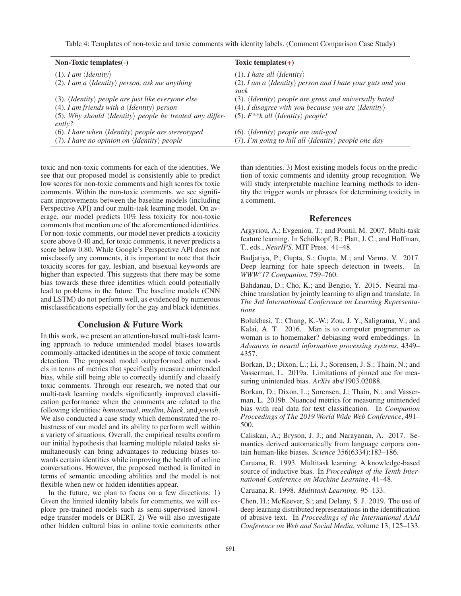Table 4: Templates of non-toxic and toxic comments with identity labels. (Comment Comparison Case Study)

| Non-Toxic templates $(-)$                                                            | Toxic templates $(+)$                                                                |
|--------------------------------------------------------------------------------------|--------------------------------------------------------------------------------------|
| $(1)$ . I am $\langle$ <i>Identity</i> $\rangle$                                     | (1). <i>I hate all <math>\langle</math> Identity</i> $\rangle$                       |
| (2). I am a $\langle$ Identity $\rangle$ person, ask me anything                     | (2). I am a $\langle$ Identity $\rangle$ person and I hate your guts and you<br>suck |
| (3). $\langle$ <i>Identity</i> $\rangle$ people are just like everyone else          | (3). $\langle$ <i>Identity</i> $\rangle$ people are gross and universally hated      |
| (4). I am friends with a $\langle$ Identity $\rangle$ person                         | (4). I disagree with you because you are $\langle$ Identity $\rangle$                |
| (5). Why should $\langle$ Identity $\rangle$ people be treated any differ-<br>ently? | (5). $F^{**}$ k all $\langle$ <i>Identity</i> $\rangle$ people!                      |
| (6). I hate when $\langle$ Identity $\rangle$ people are stereotyped                 | (6). $\langle$ <i>Identity</i> $\rangle$ <i>people are anti-god</i>                  |
| (7). I have no opinion on $\langle$ Identity $\rangle$ people                        | (7). I'm going to kill all $\langle$ Identity $\rangle$ people one day               |

toxic and non-toxic comments for each of the identities. We see that our proposed model is consistently able to predict low scores for non-toxic comments and high scores for toxic comments. Within the non-toxic comments, we see significant improvements between the baseline models (including Perspective API) and our multi-task learning model. On average, our model predicts 10% less toxicity for non-toxic comments that mention one of the aforementioned identities. For non-toxic comments, our model never predicts a toxicity score above 0.40 and, for toxic comments, it never predicts a score below 0.80. While Google's Perspective API does not misclassify any comments, it is important to note that their toxicity scores for gay, lesbian, and bisexual keywords are higher than expected. This suggests that there may be some bias towards these three identities which could potentially lead to problems in the future. The baseline models (CNN and LSTM) do not perform well, as evidenced by numerous misclassifications especially for the gay and black identities.

# Conclusion & Future Work

In this work, we present an attention-based multi-task learning approach to reduce unintended model biases towards commonly-attacked identities in the scope of toxic comment detection. The proposed model outperformed other models in terms of metrics that specifically measure unintended bias, while still being able to correctly identify and classify toxic comments. Through our research, we noted that our multi-task learning models significantly improved classification performance when the comments are related to the following identities: *homosexual*, *muslim*, *black*, and *jewish*. We also conducted a case study which demonstrated the robustness of our model and its ability to perform well within a variety of situations. Overall, the empirical results confirm our initial hypothesis that learning multiple related tasks simultaneously can bring advantages to reducing biases towards certain identities while improving the health of online conversations. However, the proposed method is limited in terms of semantic encoding abilities and the model is not flexible when new or hidden identities appear.

In the future, we plan to focus on a few directions: 1) Given the limited identity labels for comments, we will explore pre-trained models such as semi-supervised knowledge transfer models or BERT. 2) We will also investigate other hidden cultural bias in online toxic comments other than identities. 3) Most existing models focus on the prediction of toxic comments and identity group recognition. We will study interpretable machine learning methods to identity the trigger words or phrases for determining toxicity in a comment.

#### References

Argyriou, A.; Evgeniou, T.; and Pontil, M. 2007. Multi-task feature learning. In Schölkopf, B.; Platt, J. C.; and Hoffman, T., eds., *NeurIPS*. MIT Press. 41–48.

Badjatiya, P.; Gupta, S.; Gupta, M.; and Varma, V. 2017. Deep learning for hate speech detection in tweets. In *WWW'17 Companion*, 759–760.

Bahdanau, D.; Cho, K.; and Bengio, Y. 2015. Neural machine translation by jointly learning to align and translate. In *The 3rd International Conference on Learning Representations*.

Bolukbasi, T.; Chang, K.-W.; Zou, J. Y.; Saligrama, V.; and Kalai, A. T. 2016. Man is to computer programmer as woman is to homemaker? debiasing word embeddings. In *Advances in neural information processing systems*, 4349– 4357.

Borkan, D.; Dixon, L.; Li, J.; Sorensen, J. S.; Thain, N.; and Vasserman, L. 2019a. Limitations of pinned auc for measuring unintended bias. *ArXiv* abs/1903.02088.

Borkan, D.; Dixon, L.; Sorensen, J.; Thain, N.; and Vasserman, L. 2019b. Nuanced metrics for measuring unintended bias with real data for text classification. In *Companion Proceedings of The 2019 World Wide Web Conference*, 491– 500.

Caliskan, A.; Bryson, J. J.; and Narayanan, A. 2017. Semantics derived automatically from language corpora contain human-like biases. *Science* 356(6334):183–186.

Caruana, R. 1993. Multitask learning: A knowledge-based source of inductive bias. In *Proceedings of the Tenth International Conference on Machine Learning*, 41–48.

Caruana, R. 1998. *Multitask Learning*. 95–133.

Chen, H.; McKeever, S.; and Delany, S. J. 2019. The use of deep learning distributed representations in the identification of abusive text. In *Proceedings of the International AAAI Conference on Web and Social Media*, volume 13, 125–133.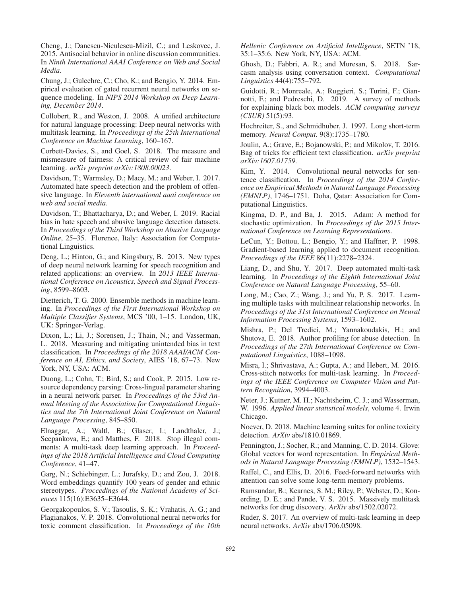Cheng, J.; Danescu-Niculescu-Mizil, C.; and Leskovec, J. 2015. Antisocial behavior in online discussion communities. In *Ninth International AAAI Conference on Web and Social Media*.

Chung, J.; Gulcehre, C.; Cho, K.; and Bengio, Y. 2014. Empirical evaluation of gated recurrent neural networks on sequence modeling. In *NIPS 2014 Workshop on Deep Learning, December 2014*.

Collobert, R., and Weston, J. 2008. A unified architecture for natural language processing: Deep neural networks with multitask learning. In *Proceedings of the 25th International Conference on Machine Learning*, 160–167.

Corbett-Davies, S., and Goel, S. 2018. The measure and mismeasure of fairness: A critical review of fair machine learning. *arXiv preprint arXiv:1808.00023*.

Davidson, T.; Warmsley, D.; Macy, M.; and Weber, I. 2017. Automated hate speech detection and the problem of offensive language. In *Eleventh international aaai conference on web and social media*.

Davidson, T.; Bhattacharya, D.; and Weber, I. 2019. Racial bias in hate speech and abusive language detection datasets. In *Proceedings of the Third Workshop on Abusive Language Online*, 25–35. Florence, Italy: Association for Computational Linguistics.

Deng, L.; Hinton, G.; and Kingsbury, B. 2013. New types of deep neural network learning for speech recognition and related applications: an overview. In *2013 IEEE International Conference on Acoustics, Speech and Signal Processing*, 8599–8603.

Dietterich, T. G. 2000. Ensemble methods in machine learning. In *Proceedings of the First International Workshop on Multiple Classifier Systems*, MCS '00, 1–15. London, UK, UK: Springer-Verlag.

Dixon, L.; Li, J.; Sorensen, J.; Thain, N.; and Vasserman, L. 2018. Measuring and mitigating unintended bias in text classification. In *Proceedings of the 2018 AAAI/ACM Conference on AI, Ethics, and Society*, AIES '18, 67–73. New York, NY, USA: ACM.

Duong, L.; Cohn, T.; Bird, S.; and Cook, P. 2015. Low resource dependency parsing: Cross-lingual parameter sharing in a neural network parser. In *Proceedings of the 53rd Annual Meeting of the Association for Computational Linguistics and the 7th International Joint Conference on Natural Language Processing*, 845–850.

Elnaggar, A.; Waltl, B.; Glaser, I.; Landthaler, J.; Scepankova, E.; and Matthes, F. 2018. Stop illegal comments: A multi-task deep learning approach. In *Proceedings of the 2018 Artificial Intelligence and Cloud Computing Conference*, 41–47.

Garg, N.; Schiebinger, L.; Jurafsky, D.; and Zou, J. 2018. Word embeddings quantify 100 years of gender and ethnic stereotypes. *Proceedings of the National Academy of Sciences* 115(16):E3635–E3644.

Georgakopoulos, S. V.; Tasoulis, S. K.; Vrahatis, A. G.; and Plagianakos, V. P. 2018. Convolutional neural networks for toxic comment classification. In *Proceedings of the 10th* *Hellenic Conference on Artificial Intelligence*, SETN '18, 35:1–35:6. New York, NY, USA: ACM.

Ghosh, D.; Fabbri, A. R.; and Muresan, S. 2018. Sarcasm analysis using conversation context. *Computational Linguistics* 44(4):755–792.

Guidotti, R.; Monreale, A.; Ruggieri, S.; Turini, F.; Giannotti, F.; and Pedreschi, D. 2019. A survey of methods for explaining black box models. *ACM computing surveys (CSUR)* 51(5):93.

Hochreiter, S., and Schmidhuber, J. 1997. Long short-term memory. *Neural Comput.* 9(8):1735–1780.

Joulin, A.; Grave, E.; Bojanowski, P.; and Mikolov, T. 2016. Bag of tricks for efficient text classification. *arXiv preprint arXiv:1607.01759*.

Kim, Y. 2014. Convolutional neural networks for sentence classification. In *Proceedings of the 2014 Conference on Empirical Methods in Natural Language Processing (EMNLP)*, 1746–1751. Doha, Qatar: Association for Computational Linguistics.

Kingma, D. P., and Ba, J. 2015. Adam: A method for stochastic optimization. In *Proceedings of the 2015 International Conference on Learning Representations*.

LeCun, Y.; Bottou, L.; Bengio, Y.; and Haffner, P. 1998. Gradient-based learning applied to document recognition. *Proceedings of the IEEE* 86(11):2278–2324.

Liang, D., and Shu, Y. 2017. Deep automated multi-task learning. In *Proceedings of the Eighth International Joint Conference on Natural Language Processing*, 55–60.

Long, M.; Cao, Z.; Wang, J.; and Yu, P. S. 2017. Learning multiple tasks with multilinear relationship networks. In *Proceedings of the 31st International Conference on Neural Information Processing Systems*, 1593–1602.

Mishra, P.; Del Tredici, M.; Yannakoudakis, H.; and Shutova, E. 2018. Author profiling for abuse detection. In *Proceedings of the 27th International Conference on Computational Linguistics*, 1088–1098.

Misra, I.; Shrivastava, A.; Gupta, A.; and Hebert, M. 2016. Cross-stitch networks for multi-task learning. In *Proceedings of the IEEE Conference on Computer Vision and Pattern Recognition*, 3994–4003.

Neter, J.; Kutner, M. H.; Nachtsheim, C. J.; and Wasserman, W. 1996. *Applied linear statistical models*, volume 4. Irwin Chicago.

Noever, D. 2018. Machine learning suites for online toxicity detection. *ArXiv* abs/1810.01869.

Pennington, J.; Socher, R.; and Manning, C. D. 2014. Glove: Global vectors for word representation. In *Empirical Methods in Natural Language Processing (EMNLP)*, 1532–1543.

Raffel, C., and Ellis, D. 2016. Feed-forward networks with attention can solve some long-term memory problems.

Ramsundar, B.; Kearnes, S. M.; Riley, P.; Webster, D.; Konerding, D. E.; and Pande, V. S. 2015. Massively multitask networks for drug discovery. *ArXiv* abs/1502.02072.

Ruder, S. 2017. An overview of multi-task learning in deep neural networks. *ArXiv* abs/1706.05098.